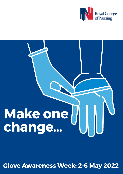



**Glove Awareness Week: 2-6 May 2022**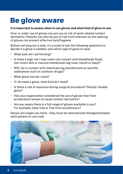## **Be glove aware**

### It is important to assess when to use gloves and what kind of glove to use.

Over or under use of gloves can put you at risk of work-related contact dermatitis. Patients can also be put at risk from infection as the wearing of gloves can prevent effective hand hygiene.

Before carrying out a task, it's crucial to ask the following questions to decide if a glove is needed, and which type of glove to wear.

- What task am I performing?
- Is there a high risk I may come into contact with blood/body fluids, non-intact skin or mucous membranes (eg nose, mouth or eyes)?
- Will I be in contact with chemicals (eg disinfectants or harmful substances such as cytotoxic drugs)?
- What glove size do I need?
- If I do need a glove, what kind do I need?
- Is there a risk of exposure during surgical procedure? Should I double glove?
- Has your organisation considered the use of gloves free from accelerators known to cause contact dermatitis?
- Are you aware there is a full range of gloves available to you? For example, latex free or free from accelerators?

Gloves are single use items – they must be removed and changed between each patient or care task.

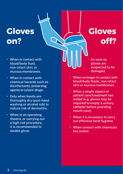# **Gloves on?**

**off?**

**Gloves** 

- When in contact with blood/body fluid, non-intact skin, or mucous membranes.
- When in contact with chemical hazards such as disinfectants, preserving agents or cytoxic drugs.
- Only when hands are thoroughly dry (post-hand washing or alcohol rub) to reduce risk of dermatitis.
- When in an operating theatre, or carrying out a high risk procedure, it is recommended to double glove.

• When no longer in contact with blood/body fluids, non-intact skin or mucous membranes.

• As soon as gloves are suspected to be

damaged.

- When a single aspect of patient care/treatment has ended (e.g. gloves may be required to empty a urinary catheter before providing mouth care).
- When it's necessary to carry out effective hand hygiene.
- When contact with chemicals has ended.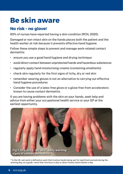## **Be skin aware**

### **No risk – no glove!**

93% of nurses have reported having a skin condition (RCN, 2020).

Damaged or non-intact skin on the hands places both the patient and the health worker at risk because it prevents effective hand hygiene.

Follow these simple steps to prevent and manage work-related contact dermatitis:

- ensure you use a good hand hygiene and drying technique
- avoid direct contact between unprotected hands and hazardous substances
- regularly apply hand moisturising creams (containing emollients)
- check skin regularly for the first signs of itchy, dry or red skin
- remember wearing gloves is not an alternative to carrying out effective hand hygiene procedures
- Consider the use of a latex-free glove or a glove free from accelerators known to cause contact dermatitis.

If you are having problems with the skin on your hands, seek help and advice from either your occupational health service or your GP at the earliest opportunity.



\* In the UK, wet work is defined as work that involves hands being wet for significant periods during the working day; as a guide – more than two hours a day or about twenty hand washes a day.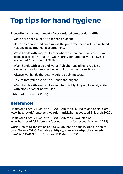## **Top tips for hand hygiene**

#### Prevention and management of work-related contact dermatitis

- Gloves are not a substitute for hand hygiene.
- Use an alcohol-based hand rub as the preferred means of routine hand hygiene in all other clinical situations.
- Wash hands with soap and water where alcohol hand rubs are known to be less effective, such as when caring for patients with known or suspected Clostridium difficile.
- Wash hands with soap and water if alcohol-based hand rub is not available. Hand wipes may be helpful in community settings.
- Always wet hands thoroughly before applying soap.
- Ensure that you rinse and dry hands thoroughly.
- Wash hands with soap and water when visibly dirty or obviously soiled with blood or other body fluids.

(Adapted from WHO, 2009)

### **References**

Health and Safety Executive (2020) Dermatitis in Health and Social Care www.hse.gov.uk/healthservices/dermatitis.htm (accessed 21 March 2022).

Health and Safety Executive (2020) Dermatitis. Available at www.hse.gov.uk/skin/employ/dermatitis.htm (accessed 21 March 2022).

World Health Organization (2009) Guidelines on hand hygiene in health care, Geneva: WHO. Available at https://www.who.int/publications/i/ item/9789241597906/ (accessed 22 March 2022).